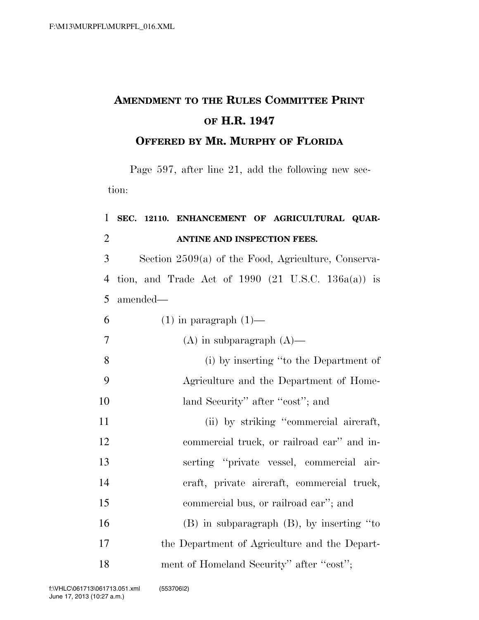## **AMENDMENT TO THE RULES COMMITTEE PRINT OF H.R. 1947**

## **OFFERED BY MR. MURPHY OF FLORIDA**

Page 597, after line 21, add the following new section:

## **SEC. 12110. ENHANCEMENT OF AGRICULTURAL QUAR-ANTINE AND INSPECTION FEES.**

 Section 2509(a) of the Food, Agriculture, Conserva- tion, and Trade Act of 1990 (21 U.S.C. 136a(a)) is amended—

| 6              | $(1)$ in paragraph $(1)$ —                     |
|----------------|------------------------------------------------|
| $\overline{7}$ | $(A)$ in subparagraph $(A)$ —                  |
| 8              | (i) by inserting "to the Department of         |
| 9              | Agriculture and the Department of Home-        |
| 10             | land Security" after "cost"; and               |
| 11             | (ii) by striking "commercial aircraft,         |
| 12             | commercial truck, or railroad car" and in-     |
| 13             | serting "private vessel, commercial air-       |
| 14             | eraft, private aircraft, commercial truck,     |
| 15             | commercial bus, or railroad car"; and          |
| 16             | $(B)$ in subparagraph $(B)$ , by inserting "to |
| 17             | the Department of Agriculture and the Depart-  |
| 18             | ment of Homeland Security" after "cost";       |